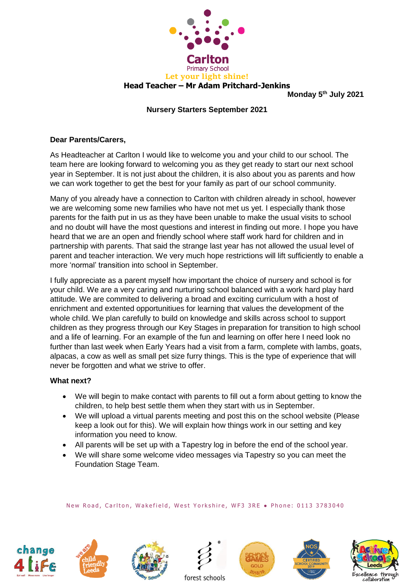

**Monday 5th July 2021**

## **Nursery Starters September 2021**

## **Dear Parents/Carers,**

As Headteacher at Carlton I would like to welcome you and your child to our school. The team here are looking forward to welcoming you as they get ready to start our next school year in September. It is not just about the children, it is also about you as parents and how we can work together to get the best for your family as part of our school community.

Many of you already have a connection to Carlton with children already in school, however we are welcoming some new families who have not met us yet. I especially thank those parents for the faith put in us as they have been unable to make the usual visits to school and no doubt will have the most questions and interest in finding out more. I hope you have heard that we are an open and friendly school where staff work hard for children and in partnership with parents. That said the strange last year has not allowed the usual level of parent and teacher interaction. We very much hope restrictions will lift sufficiently to enable a more 'normal' transition into school in September.

I fully appreciate as a parent myself how important the choice of nursery and school is for your child. We are a very caring and nurturing school balanced with a work hard play hard attitude. We are commited to delivering a broad and exciting curriculum with a host of enrichment and extented opportunitiues for learning that values the development of the whole child. We plan carefully to build on knowledge and skills across school to support children as they progress through our Key Stages in preparation for transition to high school and a life of learning. For an example of the fun and learning on offer here I need look no further than last week when Early Years had a visit from a farm, complete with lambs, goats, alpacas, a cow as well as small pet size furry things. This is the type of experience that will never be forgotten and what we strive to offer.

#### **What next?**

- We will begin to make contact with parents to fill out a form about getting to know the children, to help best settle them when they start with us in September.
- We will upload a virtual parents meeting and post this on the school website (Please keep a look out for this). We will explain how things work in our setting and key information you need to know.
- All parents will be set up with a Tapestry log in before the end of the school year.
- We will share some welcome video messages via Tapestry so you can meet the Foundation Stage Team.

#### New Road, Carlton, Wakefield, West Yorkshire, WF3 3RE . Phone: 0113 3783040













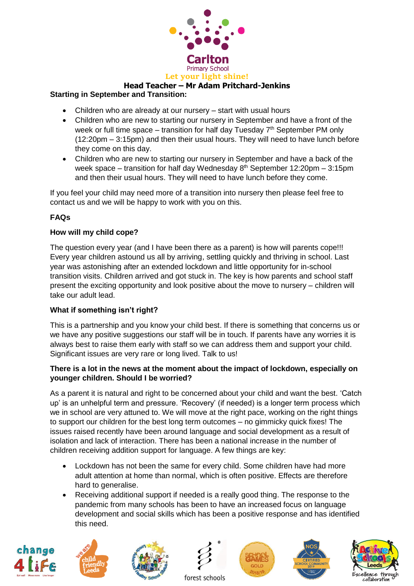

# **Head Teacher – Mr Adam Pritchard-Jenkins**

## **Starting in September and Transition:**

- Children who are already at our nursery start with usual hours
- Children who are new to starting our nursery in September and have a front of the week or full time space – transition for half day Tuesday  $7<sup>th</sup>$  September PM only (12:20pm – 3:15pm) and then their usual hours. They will need to have lunch before they come on this day.
- Children who are new to starting our nursery in September and have a back of the week space – transition for half day Wednesday  $8<sup>th</sup>$  September 12:20pm – 3:15pm and then their usual hours. They will need to have lunch before they come.

If you feel your child may need more of a transition into nursery then please feel free to contact us and we will be happy to work with you on this.

## **FAQs**

#### **How will my child cope?**

The question every year (and I have been there as a parent) is how will parents cope!!! Every year children astound us all by arriving, settling quickly and thriving in school. Last year was astonishing after an extended lockdown and little opportunity for in-school transition visits. Children arrived and got stuck in. The key is how parents and school staff present the exciting opportunity and look positive about the move to nursery – children will take our adult lead.

## **What if something isn't right?**

This is a partnership and you know your child best. If there is something that concerns us or we have any positive suggestions our staff will be in touch. If parents have any worries it is always best to raise them early with staff so we can address them and support your child. Significant issues are very rare or long lived. Talk to us!

## **There is a lot in the news at the moment about the impact of lockdown, especially on younger children. Should I be worried?**

As a parent it is natural and right to be concerned about your child and want the best. 'Catch up' is an unhelpful term and pressure. 'Recovery' (if needed) is a longer term process which we in school are very attuned to. We will move at the right pace, working on the right things to support our children for the best long term outcomes – no gimmicky quick fixes! The issues raised recently have been around language and social development as a result of isolation and lack of interaction. There has been a national increase in the number of children receiving addition support for language. A few things are key:

- Lockdown has not been the same for every child. Some children have had more adult attention at home than normal, which is often positive. Effects are therefore hard to generalise.
- Receiving additional support if needed is a really good thing. The response to the pandemic from many schools has been to have an increased focus on language development and social skills which has been a positive response and has identified this need.